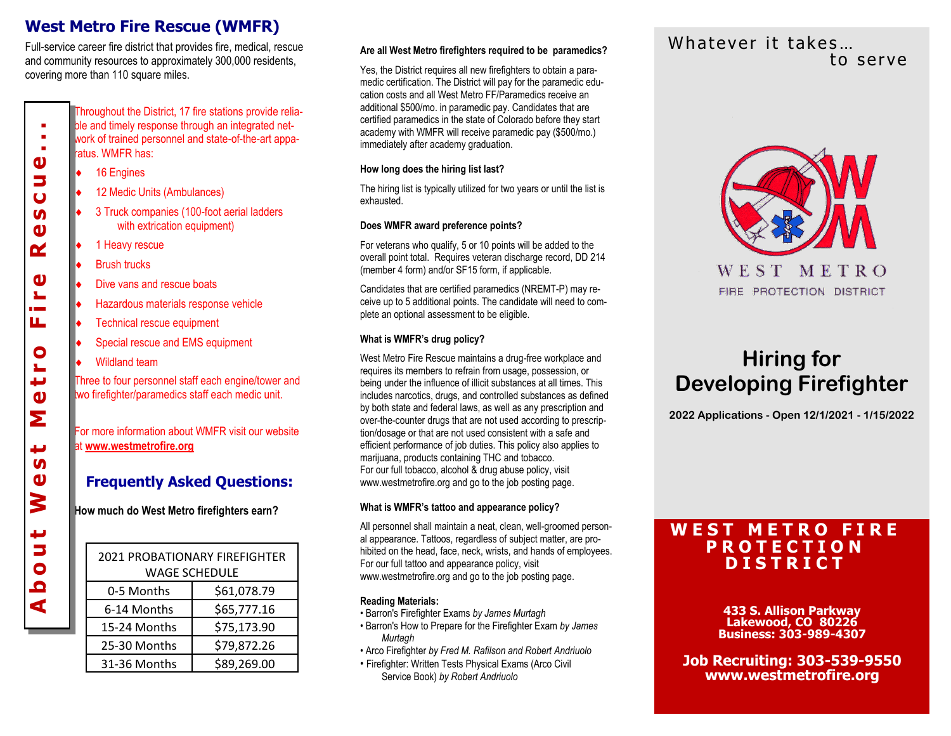## **West Metro Fire Rescue (WMFR)**

Full-service career fire district that provides fire, medical, rescue and community resources to approximately 300,000 residents, covering more than 110 square miles.

> Throughout the District, 17 fire stations provide reliable and timely response through an integrated network of trained personnel and state-of-the-art apparatus. WMFR has:

- 16 Engines
- 12 Medic Units (Ambulances)
- 3 Truck companies (100-foot aerial ladders with extrication equipment)
- 1 Heavy rescue
- Brush trucks
- Dive vans and rescue boats
- Hazardous materials response vehicle
- Technical rescue equipment
- Special rescue and EMS equipment
- Wildland team

About West Metro Fire Rescue...

 $\mathbf{v}$ 

ш

 $\bullet$ 

ш  $\mathbf{v}$ Σ

پ **In**  $\boldsymbol{\omega}$ 3

¢ Б  $\bullet$  $\overline{\mathbf{C}}$ ₫

٠ ٠ × ω 5  $\overline{u}$ **In**  $\mathbf{v}$ ๔

> Three to four personnel staff each engine/tower and two firefighter/paramedics staff each medic unit.

For more information about WMFR visit our website at **www.westmetrofire.org** 

## **Frequently Asked Questions:**

**How much do West Metro firefighters earn?**

| <b>2021 PROBATIONARY FIREFIGHTER</b><br><b>WAGE SCHEDULE</b> |             |
|--------------------------------------------------------------|-------------|
| 0-5 Months                                                   | \$61,078.79 |
| 6-14 Months                                                  | \$65,777.16 |
| 15-24 Months                                                 | \$75,173.90 |
| 25-30 Months                                                 | \$79,872.26 |
| 31-36 Months                                                 | \$89,269.00 |

Yes, the District requires all new firefighters to obtain a paramedic certification. The District will pay for the paramedic education costs and all West Metro FF/Paramedics receive an additional \$500/mo. in paramedic pay. Candidates that are certified paramedics in the state of Colorado before they start academy with WMFR will receive paramedic pay (\$500/mo.) immediately after academy graduation.

#### **How long does the hiring list last?**

The hiring list is typically utilized for two years or until the list is exhausted.

#### **Does WMFR award preference points?**

For veterans who qualify, 5 or 10 points will be added to the overall point total. Requires veteran discharge record, DD 214 (member 4 form) and/or SF15 form, if applicable.

Candidates that are certified paramedics (NREMT-P) may receive up to 5 additional points. The candidate will need to complete an optional assessment to be eligible.

#### **What is WMFR's drug policy?**

West Metro Fire Rescue maintains a drug-free workplace and requires its members to refrain from usage, possession, or being under the influence of illicit substances at all times. This includes narcotics, drugs, and controlled substances as defined by both state and federal laws, as well as any prescription and over-the-counter drugs that are not used according to prescription/dosage or that are not used consistent with a safe and efficient performance of job duties. This policy also applies to marijuana, products containing THC and tobacco. For our full tobacco, alcohol & drug abuse policy, visit www.westmetrofire.org and go to the job posting page.

#### **What is WMFR's tattoo and appearance policy?**

All personnel shall maintain a neat, clean, well-groomed personal appearance. Tattoos, regardless of subject matter, are prohibited on the head, face, neck, wrists, and hands of employees. For our full tattoo and appearance policy, visit www.westmetrofire.org and go to the job posting page.

#### **Reading Materials:**

- Barron's Firefighter Exams *by James Murtagh*
- Barron's How to Prepare for the Firefighter Exam *by James Murtagh*
- Arco Firefighter *by Fred M. Rafilson and Robert Andriuolo*
- Firefighter: Written Tests Physical Exams (Arco Civil Service Book) *by Robert Andriuolo*

## Whatever it takes... Are all West Metro firefighters required to be paramedics?<br>Lo serve



# **Hiring for Developing Firefighter**

**2022 Applications - Open 12/1/2021 - 1/15/2022**

## **W E S T M E T R O F I R E P R O T E C T I O N D I S T R I C T**

**433 S. Allison Parkway Lakewood, CO 80226 Business: 303-989-4307**

**Job Recruiting: 303-539-9550 www.westmetrofire.org**